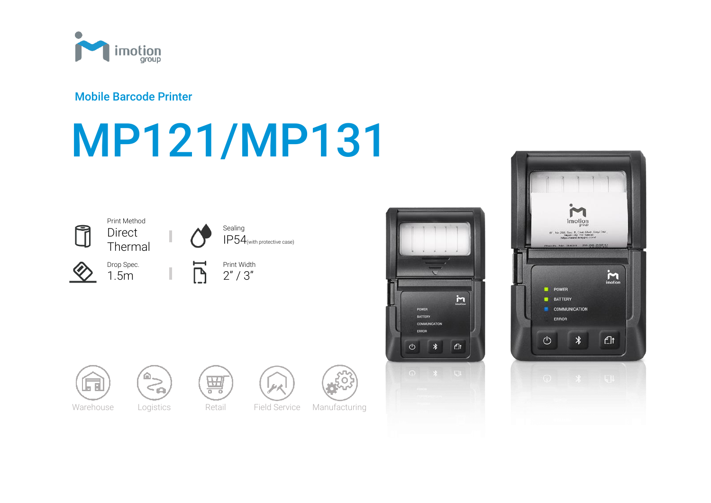

# Mobile Barcode Printer

# MP121/MP131





Drop Spec. 1.5m

Print Method





IP54(with protective case)

Ē Print Width  $2" / 3"$ 













Warehouse Logistics Retail Field Service Manufacturing



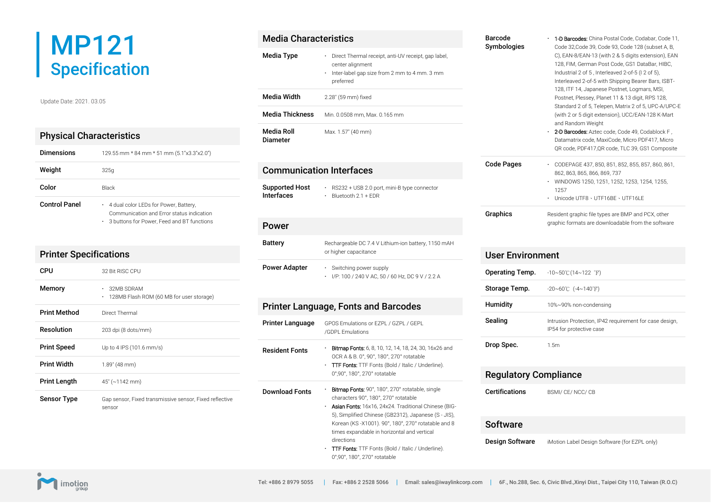# MP121 **Specification**

Update Date: 2021. 03.05

## Physical Characteristics

| <b>Dimensions</b>    | 129.55 mm * 84 mm * 51 mm (5.1"x3.3"x2.0")                                                                                                   |
|----------------------|----------------------------------------------------------------------------------------------------------------------------------------------|
| Weight               | 325 <sub>q</sub>                                                                                                                             |
| Color                | <b>Black</b>                                                                                                                                 |
| <b>Control Panel</b> | 4 dual color LEDs for Power, Battery,<br>۰.<br>Communication and Frror status indication<br>3 buttons for Power. Feed and BT functions<br>۰. |

| <b>Printer Specifications</b> |                                                                   |
|-------------------------------|-------------------------------------------------------------------|
| CPU                           | 32 Bit RISC CPU                                                   |
| Memory                        | 32MB SDRAM<br>128MB Flash ROM (60 MB for user storage)<br>٠       |
| <b>Print Method</b>           | Direct Thermal                                                    |
| Resolution                    | 203 dpi (8 dots/mm)                                               |
| <b>Print Speed</b>            | Up to 4 IPS (101.6 mm/s)                                          |
| <b>Print Width</b>            | 1.89" (48 mm)                                                     |
| <b>Print Length</b>           | $45^{\circ}$ (~1142 mm)                                           |
| <b>Sensor Type</b>            | Gap sensor, Fixed transmissive sensor, Fixed reflective<br>sensor |

# Media Characteristics Media Type **Direct Thermal receipt, anti-UV receipt, gap label,** center alignment Inter-label gap size from 2 mm to 4 mm. 3 mm preferred Media Width 2.28" (59 mm) fixed Media Thickness Min. 0.0508 mm, Max. 0.165 mm Media Roll Diameter Max. 1.57" (40 mm) Communication Interfaces Supported Host Interfaces RS232 + USB 2.0 port, mini-B type connector Bluetooth 2.1 + EDR Power Battery Rechargeable DC 7.4 V Lithium-ion battery, 1150 mAH or higher capacitance Power Adapter • Switching power supply I/P: 100 / 240 V AC, 50 / 60 Hz, DC 9 V / 2.2 A Printer Language, Fonts and Barcodes Printer Language GPOS Emulations or EZPL / GZPL / GEPL /GDPL Emulations **Resident Fonts Bitmap Fonts:** 6, 8, 10, 12, 14, 18, 24, 30, 16x26 and OCR A & B. 0°, 90°, 180°, 270° rotatable TTF Fonts: TTF Fonts (Bold / Italic / Underline). 0°,90°, 180°, 270° rotatable Download Fonts: **Bitmap Fonts: 90°, 180°, 270° rotatable, single** characters 90°, 180°, 270° rotatable Asian Fonts: 16x16, 24x24. Traditional Chinese (BIG-5), Simplified Chinese (GB2312), Japanese (S - JIS), Korean (KS -X1001). 90°, 180°, 270° rotatable and 8 times expandable in horizontal and vertical directions

**TTF Fonts:** TTF Fonts (Bold / Italic / Underline). 0°,90°, 180°, 270° rotatable

| <b>Barcode</b><br>Symbologies | <b>1-D Barcodes:</b> China Postal Code, Codabar, Code 11,<br>Code 32, Code 39, Code 93, Code 128 (subset A, B,<br>C), EAN-8/EAN-13 (with 2 & 5 digits extension), EAN<br>128, FIM, German Post Code, GS1 DataBar, HIBC,<br>Industrial 2 of 5, Interleaved 2-of-5 (I 2 of 5).<br>Interleaved 2-of-5 with Shipping Bearer Bars, ISBT-<br>128, ITF 14, Japanese Postnet, Logmars, MSI,<br>Postnet, Plessey, Planet 11 & 13 digit, RPS 128,<br>Standard 2 of 5, Telepen, Matrix 2 of 5, UPC-A/UPC-E<br>(with 2 or 5 digit extension), UCC/EAN-128 K-Mart<br>and Random Weight<br>2-D Barcodes: Aztec code, Code 49, Codablock F,<br>Datamatrix code, MaxiCode, Micro PDF417, Micro<br>QR code, PDF417,QR code, TLC 39, GS1 Composite |
|-------------------------------|----------------------------------------------------------------------------------------------------------------------------------------------------------------------------------------------------------------------------------------------------------------------------------------------------------------------------------------------------------------------------------------------------------------------------------------------------------------------------------------------------------------------------------------------------------------------------------------------------------------------------------------------------------------------------------------------------------------------------------|
| <b>Code Pages</b><br>٠        | CODEPAGE 437, 850, 851, 852, 855, 857, 860, 861,<br>862, 863, 865, 866, 869, 737<br>WINDOWS 1250, 1251, 1252, 1253, 1254, 1255,<br>1257<br>Unicode UTE8 - UTE16RE - UTE16LE                                                                                                                                                                                                                                                                                                                                                                                                                                                                                                                                                      |

**Graphics** Resident graphic file types are BMP and PCX, other graphic formats are downloadable from the software

| <b>User Environment</b> |                                                                                     |  |
|-------------------------|-------------------------------------------------------------------------------------|--|
| Operating Temp.         | -10~50℃(14~122 °F)                                                                  |  |
| Storage Temp.           | $-20 \sim 60^{\circ}$ ( $-4 \sim 140^{\circ}$ F)                                    |  |
| Humidity                | 10%~90% non-condensing                                                              |  |
| Sealing                 | Intrusion Protection, IP42 requirement for case design,<br>IP54 for protective case |  |
| Drop Spec.              | 1.5 <sub>m</sub>                                                                    |  |

# Regulatory Compliance

Certifications BSMI/ CE/ NCC/ CB

#### **Software**

**Design Software** iMotion Label Design Software (for EZPL only)

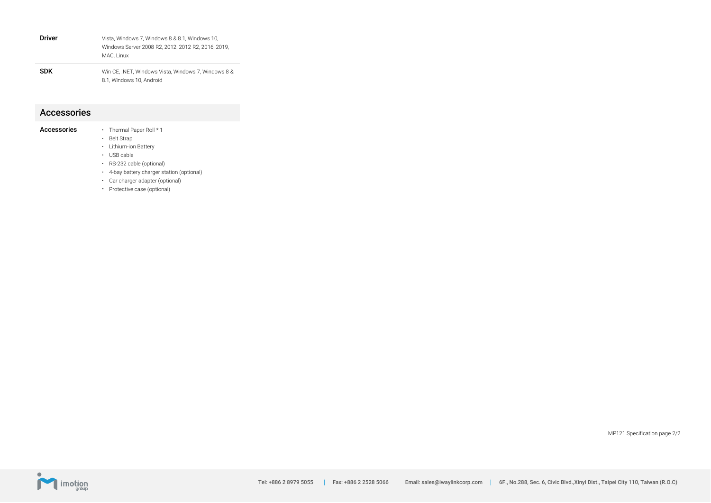| <b>Driver</b> | Vista, Windows 7, Windows 8 & 8.1, Windows 10,<br>Windows Server 2008 R2, 2012, 2012 R2, 2016, 2019,<br>MAC. Linux |
|---------------|--------------------------------------------------------------------------------------------------------------------|
| <b>SDK</b>    | Win CE. .NET. Windows Vista. Windows 7. Windows 8 &<br>8.1. Windows 10. Android                                    |

#### Accessories

| Accessories |  | Thermal Paper Roll * 1 |  |
|-------------|--|------------------------|--|
|-------------|--|------------------------|--|

- Belt Strap
- Lithium-ion Battery
- USB cable
- RS-232 cable (optional)
- 4-bay battery charger station (optional)
- Car charger adapter (optional)
- Protective case (optional)

MP121 Specification page 2/2

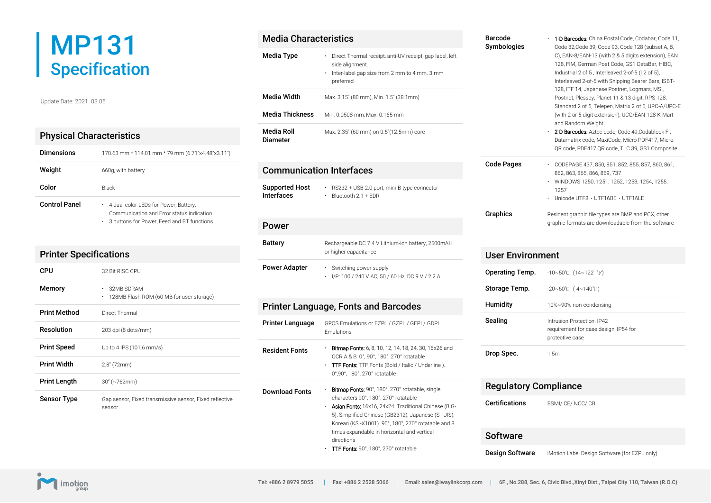# MP131 Specification

Update Date: 2021. 03.05

## Physical Characteristics

| <b>Dimensions</b>    | 170.63 mm * 114.01 mm * 79 mm (6.71"x4.48"x3.11")                                                                                     |
|----------------------|---------------------------------------------------------------------------------------------------------------------------------------|
| Weight               | 660g, with battery                                                                                                                    |
| Color                | <b>Black</b>                                                                                                                          |
| <b>Control Panel</b> | . 4 dual color LEDs for Power, Battery,<br>Communication and Frror status indication.<br>. 3 buttons for Power, Feed and BT functions |

| <b>Printer Specifications</b> |                                                                   |
|-------------------------------|-------------------------------------------------------------------|
| CPU                           | 32 Bit RISC CPU                                                   |
| Memory                        | 32MB SDRAM<br>128MB Flash ROM (60 MB for user storage)<br>٠       |
| <b>Print Method</b>           | Direct Thermal                                                    |
| <b>Resolution</b>             | 203 dpi (8 dots/mm)                                               |
| <b>Print Speed</b>            | Up to 4 IPS (101.6 mm/s)                                          |
| <b>Print Width</b>            | $2.8''$ (72mm)                                                    |
| <b>Print Length</b>           | $30'' (-762mm)$                                                   |
| <b>Sensor Type</b>            | Gap sensor, Fixed transmissive sensor, Fixed reflective<br>sensor |

| <b>Media Characteristics</b>               |                                                                                                                                                                                                                                                                   |
|--------------------------------------------|-------------------------------------------------------------------------------------------------------------------------------------------------------------------------------------------------------------------------------------------------------------------|
| Media Type                                 | · Direct Thermal receipt, anti-UV receipt, gap label, left<br>side alignment.<br>Inter-label gap size from 2 mm to 4 mm. 3 mm<br>preferred                                                                                                                        |
| <b>Media Width</b>                         | Max. 3.15" (80 mm), Min. 1.5" (38.1mm)                                                                                                                                                                                                                            |
| <b>Media Thickness</b>                     | Min. 0.0508 mm. Max. 0.165 mm                                                                                                                                                                                                                                     |
| <b>Media Roll</b><br><b>Diameter</b>       | Max. 2.35" (60 mm) on 0.5"(12.5mm) core                                                                                                                                                                                                                           |
| <b>Communication Interfaces</b>            |                                                                                                                                                                                                                                                                   |
| <b>Supported Host</b><br><b>Interfaces</b> | · RS232 + USB 2.0 port, mini-B type connector<br>$\cdot$ Bluetooth 2.1 + EDR                                                                                                                                                                                      |
| Power                                      |                                                                                                                                                                                                                                                                   |
| <b>Battery</b>                             | Rechargeable DC 7.4 V Lithium-ion battery, 2500mAH<br>or higher capacitance                                                                                                                                                                                       |
| <b>Power Adapter</b>                       | · Switching power supply<br>· I/P: 100 / 240 V AC, 50 / 60 Hz, DC 9 V / 2.2 A                                                                                                                                                                                     |
|                                            | <b>Printer Language, Fonts and Barcodes</b>                                                                                                                                                                                                                       |
| Printer Language                           | GPOS Emulations or EZPL / GZPL / GEPL/ GDPL<br>Emulations                                                                                                                                                                                                         |
| <b>Resident Fonts</b>                      | <b>Bitmap Fonts:</b> 6, 8, 10, 12, 14, 18, 24, 30, 16x26 and<br>OCR A & B. 0°, 90°, 180°, 270° rotatable<br>TTF Fonts: TTF Fonts (Bold / Italic / Underline).<br>0°,90°, 180°, 270° rotatable                                                                     |
| <b>Download Fonts</b>                      | · Bitmap Fonts: 90°, 180°, 270° rotatable, single<br>characters 90°, 180°, 270° rotatable<br>· Asian Fonts: 16x16, 24x24. Traditional Chinese (BIG-<br>5), Simplified Chinese (GB2312), Japanese (S - JIS),<br>Korean (KS-X1001). 90°, 180°, 270° rotatable and 8 |

TTF Fonts: 90°, 180°, 270° rotatable

| <b>Barcode</b><br>Symbologies | <b>1-D Barcodes:</b> China Postal Code, Codabar, Code 11,<br>Code 32, Code 39, Code 93, Code 128 (subset A, B,<br>C), EAN-8/EAN-13 (with 2 & 5 digits extension), EAN<br>128, FIM, German Post Code, GS1 DataBar, HIBC,<br>Industrial 2 of 5, Interleaved 2-of-5 (I 2 of 5).<br>Interleaved 2-of-5 with Shipping Bearer Bars, ISBT-<br>128, ITF 14, Japanese Postnet, Logmars, MSI,<br>Postnet, Plessey, Planet 11 & 13 digit, RPS 128,<br>Standard 2 of 5, Telepen, Matrix 2 of 5, UPC-A/UPC-E<br>(with 2 or 5 digit extension), UCC/EAN-128 K-Mart<br>and Random Weight<br>• <b>2-D Barcodes:</b> Aztec code, Code 49,Codablock F ,<br>Datamatrix code, MaxiCode, Micro PDF417, Micro<br>QR code, PDF417, QR code, TLC 39, GS1 Composite |
|-------------------------------|--------------------------------------------------------------------------------------------------------------------------------------------------------------------------------------------------------------------------------------------------------------------------------------------------------------------------------------------------------------------------------------------------------------------------------------------------------------------------------------------------------------------------------------------------------------------------------------------------------------------------------------------------------------------------------------------------------------------------------------------|
| Code Pages<br>٠<br>٠          | CODEPAGE 437, 850, 851, 852, 855, 857, 860, 861,<br>862, 863, 865, 866, 869, 737<br>WINDOWS 1250, 1251, 1252, 1253, 1254, 1255,<br>1257<br>Unicode UTF8 - UTF16BF - UTF16LF                                                                                                                                                                                                                                                                                                                                                                                                                                                                                                                                                                |

| Graphics | Resident graphic file types are BMP and PCX, other |
|----------|----------------------------------------------------|
|          | graphic formats are downloadable from the software |

| User Environment |                                                                                        |
|------------------|----------------------------------------------------------------------------------------|
| Operating Temp.  | $-10 \sim 50^{\circ}$ C (14~122 °F)                                                    |
| Storage Temp.    | $-20 \sim 60^{\circ}$ C ( $-4 \sim 140^{\circ}$ F)                                     |
| Humidity         | 10%~90% non-condensing                                                                 |
| Sealing          | Intrusion Protection, IP42<br>requirement for case design, IP54 for<br>protective case |
| Drop Spec.       | 1.5m                                                                                   |

## Regulatory Compliance

Certifications BSMI/ CE/ NCC/ CB

#### **Software**

**Design Software** iMotion Label Design Software (for EZPL only)